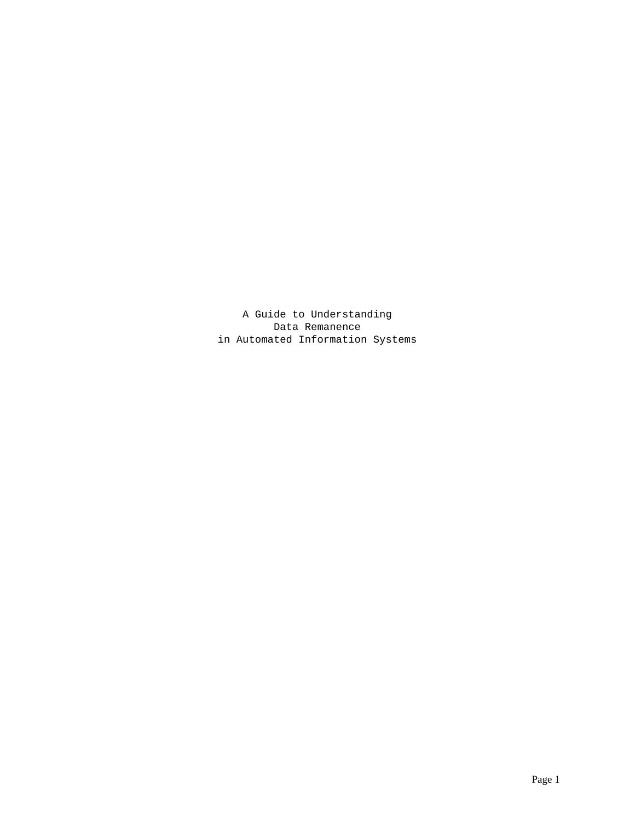A Guide to Understanding Data Remanence in Automated Information Systems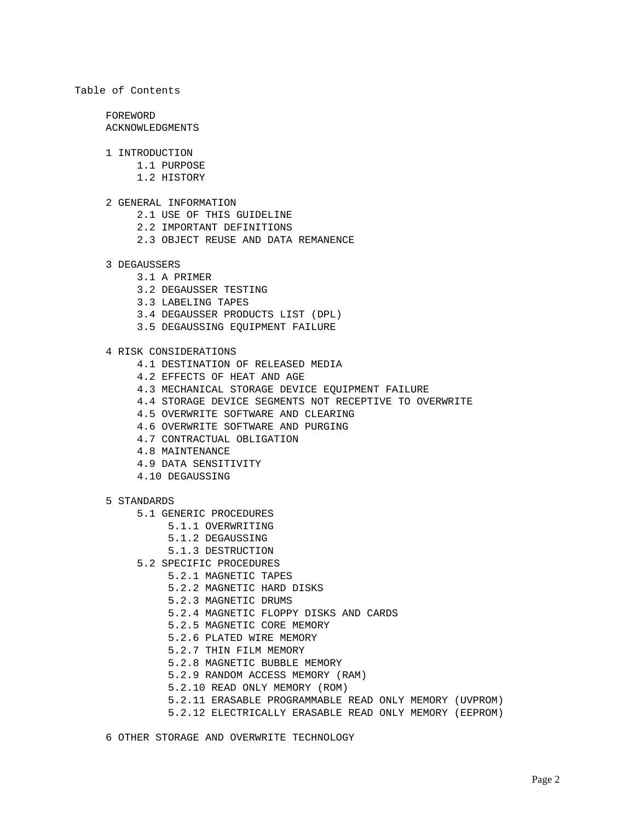# Table of Contents

 FOREWORD ACKNOWLEDGMENTS

- 1 INTRODUCTION
	- 1.1 PURPOSE
	- 1.2 HISTORY
- 2 GENERAL INFORMATION
	- 2.1 USE OF THIS GUIDELINE
	- 2.2 IMPORTANT DEFINITIONS
	- 2.3 OBJECT REUSE AND DATA REMANENCE

#### 3 DEGAUSSERS

- 3.1 A PRIMER
- 3.2 DEGAUSSER TESTING
- 3.3 LABELING TAPES
- 3.4 DEGAUSSER PRODUCTS LIST (DPL)
- 3.5 DEGAUSSING EQUIPMENT FAILURE

## 4 RISK CONSIDERATIONS

- 4.1 DESTINATION OF RELEASED MEDIA
- 4.2 EFFECTS OF HEAT AND AGE
- 4.3 MECHANICAL STORAGE DEVICE EQUIPMENT FAILURE
- 4.4 STORAGE DEVICE SEGMENTS NOT RECEPTIVE TO OVERWRITE
- 4.5 OVERWRITE SOFTWARE AND CLEARING
- 4.6 OVERWRITE SOFTWARE AND PURGING
- 4.7 CONTRACTUAL OBLIGATION
- 4.8 MAINTENANCE
- 4.9 DATA SENSITIVITY
- 4.10 DEGAUSSING

## 5 STANDARDS

- 5.1 GENERIC PROCEDURES
	- 5.1.1 OVERWRITING
		- 5.1.2 DEGAUSSING
		- 5.1.3 DESTRUCTION
- 5.2 SPECIFIC PROCEDURES
	- 5.2.1 MAGNETIC TAPES
	- 5.2.2 MAGNETIC HARD DISKS
	- 5.2.3 MAGNETIC DRUMS
	- 5.2.4 MAGNETIC FLOPPY DISKS AND CARDS
	- 5.2.5 MAGNETIC CORE MEMORY
	- 5.2.6 PLATED WIRE MEMORY
	- 5.2.7 THIN FILM MEMORY
	- 5.2.8 MAGNETIC BUBBLE MEMORY
	- 5.2.9 RANDOM ACCESS MEMORY (RAM)
	- 5.2.10 READ ONLY MEMORY (ROM)
	- 5.2.11 ERASABLE PROGRAMMABLE READ ONLY MEMORY (UVPROM)
	- 5.2.12 ELECTRICALLY ERASABLE READ ONLY MEMORY (EEPROM)
- 6 OTHER STORAGE AND OVERWRITE TECHNOLOGY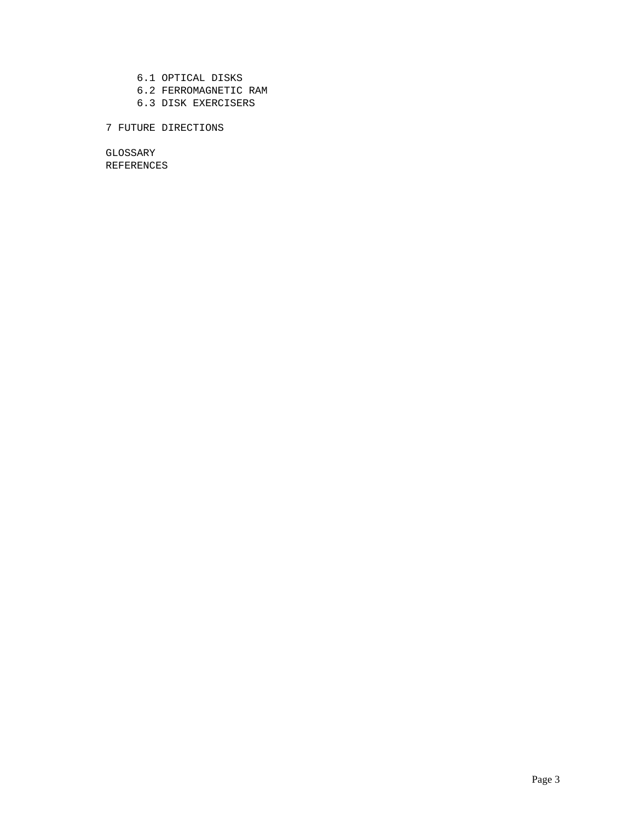- 6.1 OPTICAL DISKS 6.2 FERROMAGNETIC RAM
- 6.3 DISK EXERCISERS

# 7 FUTURE DIRECTIONS

 GLOSSARY REFERENCES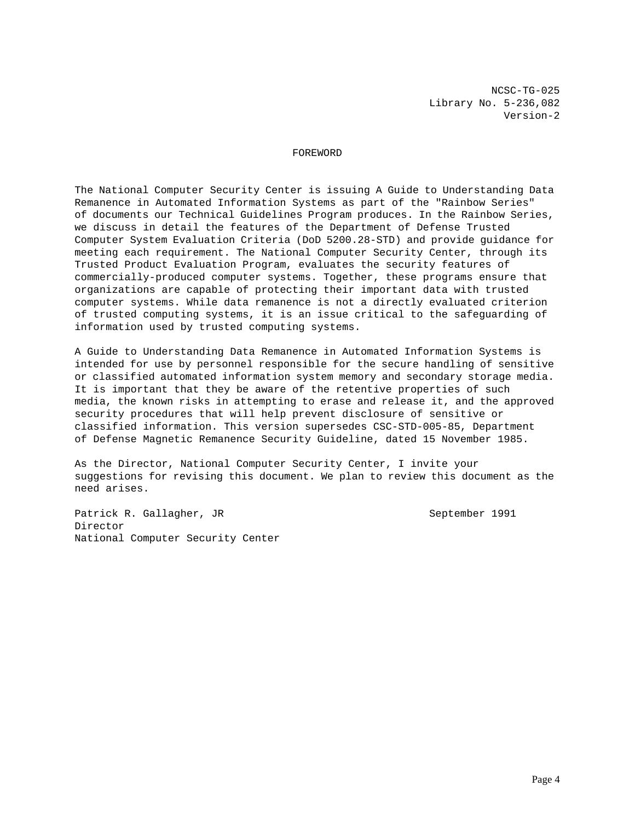NCSC-TG-025 Library No. 5-236,082 Version-2

## FOREWORD

The National Computer Security Center is issuing A Guide to Understanding Data Remanence in Automated Information Systems as part of the "Rainbow Series" of documents our Technical Guidelines Program produces. In the Rainbow Series, we discuss in detail the features of the Department of Defense Trusted Computer System Evaluation Criteria (DoD 5200.28-STD) and provide guidance for meeting each requirement. The National Computer Security Center, through its Trusted Product Evaluation Program, evaluates the security features of commercially-produced computer systems. Together, these programs ensure that organizations are capable of protecting their important data with trusted computer systems. While data remanence is not a directly evaluated criterion of trusted computing systems, it is an issue critical to the safeguarding of information used by trusted computing systems.

A Guide to Understanding Data Remanence in Automated Information Systems is intended for use by personnel responsible for the secure handling of sensitive or classified automated information system memory and secondary storage media. It is important that they be aware of the retentive properties of such media, the known risks in attempting to erase and release it, and the approved security procedures that will help prevent disclosure of sensitive or classified information. This version supersedes CSC-STD-005-85, Department of Defense Magnetic Remanence Security Guideline, dated 15 November 1985.

As the Director, National Computer Security Center, I invite your suggestions for revising this document. We plan to review this document as the need arises.

Patrick R. Gallagher, JR September 1991 Director National Computer Security Center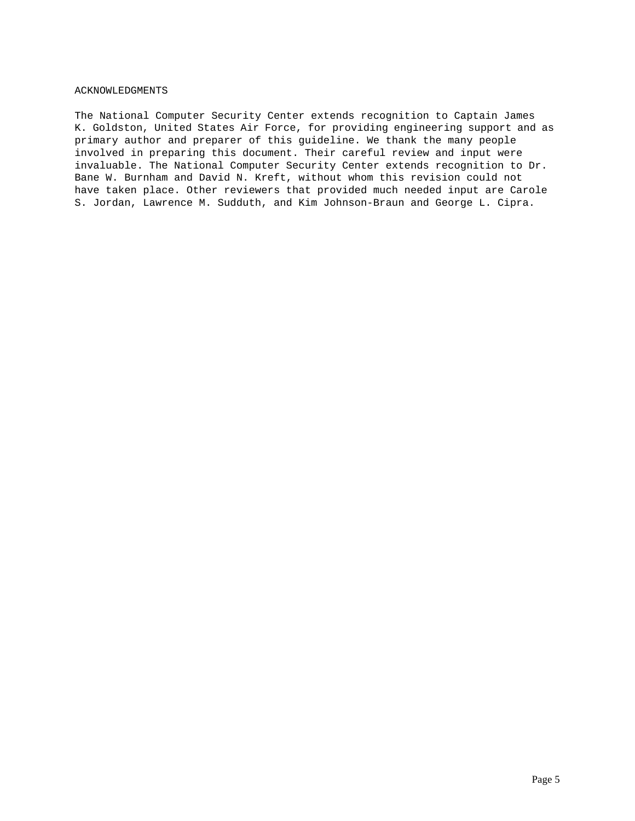# ACKNOWLEDGMENTS

The National Computer Security Center extends recognition to Captain James K. Goldston, United States Air Force, for providing engineering support and as primary author and preparer of this guideline. We thank the many people involved in preparing this document. Their careful review and input were invaluable. The National Computer Security Center extends recognition to Dr. Bane W. Burnham and David N. Kreft, without whom this revision could not have taken place. Other reviewers that provided much needed input are Carole S. Jordan, Lawrence M. Sudduth, and Kim Johnson-Braun and George L. Cipra.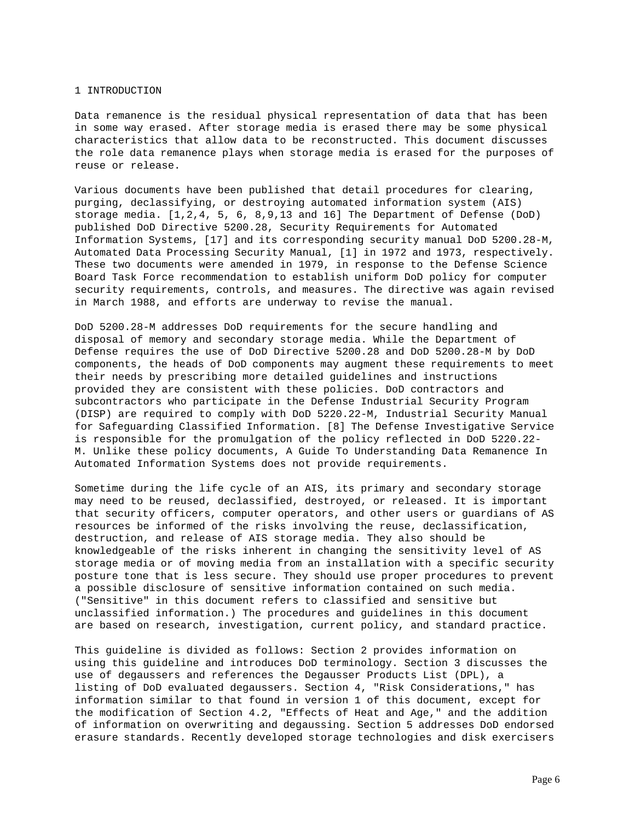#### 1 INTRODUCTION

Data remanence is the residual physical representation of data that has been in some way erased. After storage media is erased there may be some physical characteristics that allow data to be reconstructed. This document discusses the role data remanence plays when storage media is erased for the purposes of reuse or release.

Various documents have been published that detail procedures for clearing, purging, declassifying, or destroying automated information system (AIS) storage media. [1,2,4, 5, 6, 8,9,13 and 16] The Department of Defense (DoD) published DoD Directive 5200.28, Security Requirements for Automated Information Systems, [17] and its corresponding security manual DoD 5200.28-M, Automated Data Processing Security Manual, [1] in 1972 and 1973, respectively. These two documents were amended in 1979, in response to the Defense Science Board Task Force recommendation to establish uniform DoD policy for computer security requirements, controls, and measures. The directive was again revised in March 1988, and efforts are underway to revise the manual.

DoD 5200.28-M addresses DoD requirements for the secure handling and disposal of memory and secondary storage media. While the Department of Defense requires the use of DoD Directive 5200.28 and DoD 5200.28-M by DoD components, the heads of DoD components may augment these requirements to meet their needs by prescribing more detailed guidelines and instructions provided they are consistent with these policies. DoD contractors and subcontractors who participate in the Defense Industrial Security Program (DISP) are required to comply with DoD 5220.22-M, Industrial Security Manual for Safeguarding Classified Information. [8] The Defense Investigative Service is responsible for the promulgation of the policy reflected in DoD 5220.22- M. Unlike these policy documents, A Guide To Understanding Data Remanence In Automated Information Systems does not provide requirements.

Sometime during the life cycle of an AIS, its primary and secondary storage may need to be reused, declassified, destroyed, or released. It is important that security officers, computer operators, and other users or guardians of AS resources be informed of the risks involving the reuse, declassification, destruction, and release of AIS storage media. They also should be knowledgeable of the risks inherent in changing the sensitivity level of AS storage media or of moving media from an installation with a specific security posture tone that is less secure. They should use proper procedures to prevent a possible disclosure of sensitive information contained on such media. ("Sensitive" in this document refers to classified and sensitive but unclassified information.) The procedures and guidelines in this document are based on research, investigation, current policy, and standard practice.

This guideline is divided as follows: Section 2 provides information on using this guideline and introduces DoD terminology. Section 3 discusses the use of degaussers and references the Degausser Products List (DPL), a listing of DoD evaluated degaussers. Section 4, "Risk Considerations," has information similar to that found in version 1 of this document, except for the modification of Section 4.2, "Effects of Heat and Age," and the addition of information on overwriting and degaussing. Section 5 addresses DoD endorsed erasure standards. Recently developed storage technologies and disk exercisers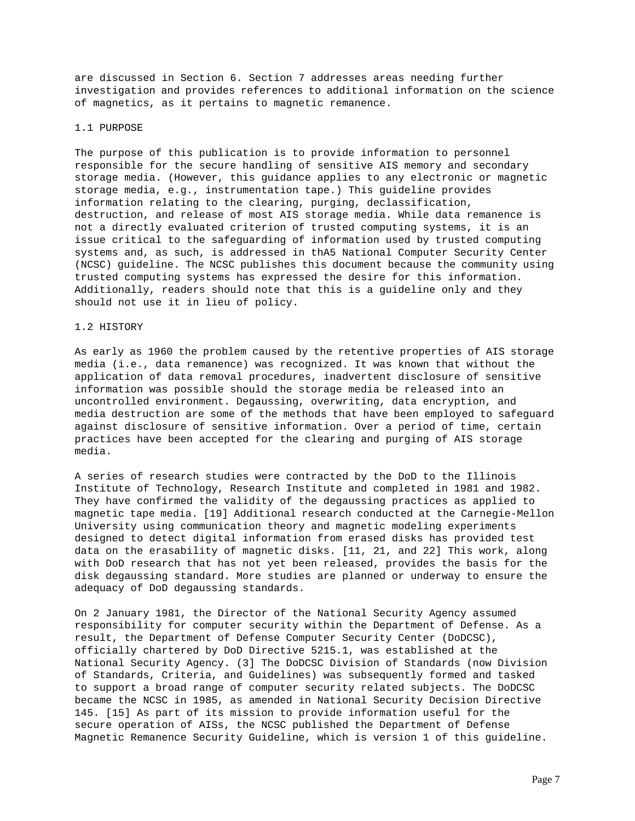are discussed in Section 6. Section 7 addresses areas needing further investigation and provides references to additional information on the science of magnetics, as it pertains to magnetic remanence.

#### 1.1 PURPOSE

The purpose of this publication is to provide information to personnel responsible for the secure handling of sensitive AIS memory and secondary storage media. (However, this guidance applies to any electronic or magnetic storage media, e.g., instrumentation tape.) This guideline provides information relating to the clearing, purging, declassification, destruction, and release of most AIS storage media. While data remanence is not a directly evaluated criterion of trusted computing systems, it is an issue critical to the safeguarding of information used by trusted computing systems and, as such, is addressed in thA5 National Computer Security Center (NCSC) guideline. The NCSC publishes this document because the community using trusted computing systems has expressed the desire for this information. Additionally, readers should note that this is a guideline only and they should not use it in lieu of policy.

## 1.2 HISTORY

As early as 1960 the problem caused by the retentive properties of AIS storage media (i.e., data remanence) was recognized. It was known that without the application of data removal procedures, inadvertent disclosure of sensitive information was possible should the storage media be released into an uncontrolled environment. Degaussing, overwriting, data encryption, and media destruction are some of the methods that have been employed to safeguard against disclosure of sensitive information. Over a period of time, certain practices have been accepted for the clearing and purging of AIS storage media.

A series of research studies were contracted by the DoD to the Illinois Institute of Technology, Research Institute and completed in 1981 and 1982. They have confirmed the validity of the degaussing practices as applied to magnetic tape media. [19] Additional research conducted at the Carnegie-Mellon University using communication theory and magnetic modeling experiments designed to detect digital information from erased disks has provided test data on the erasability of magnetic disks. [11, 21, and 22] This work, along with DoD research that has not yet been released, provides the basis for the disk degaussing standard. More studies are planned or underway to ensure the adequacy of DoD degaussing standards.

On 2 January 1981, the Director of the National Security Agency assumed responsibility for computer security within the Department of Defense. As a result, the Department of Defense Computer Security Center (DoDCSC), officially chartered by DoD Directive 5215.1, was established at the National Security Agency. (3] The DoDCSC Division of Standards (now Division of Standards, Criteria, and Guidelines) was subsequently formed and tasked to support a broad range of computer security related subjects. The DoDCSC became the NCSC in 1985, as amended in National Security Decision Directive 145. [15] As part of its mission to provide information useful for the secure operation of AISs, the NCSC published the Department of Defense Magnetic Remanence Security Guideline, which is version 1 of this guideline.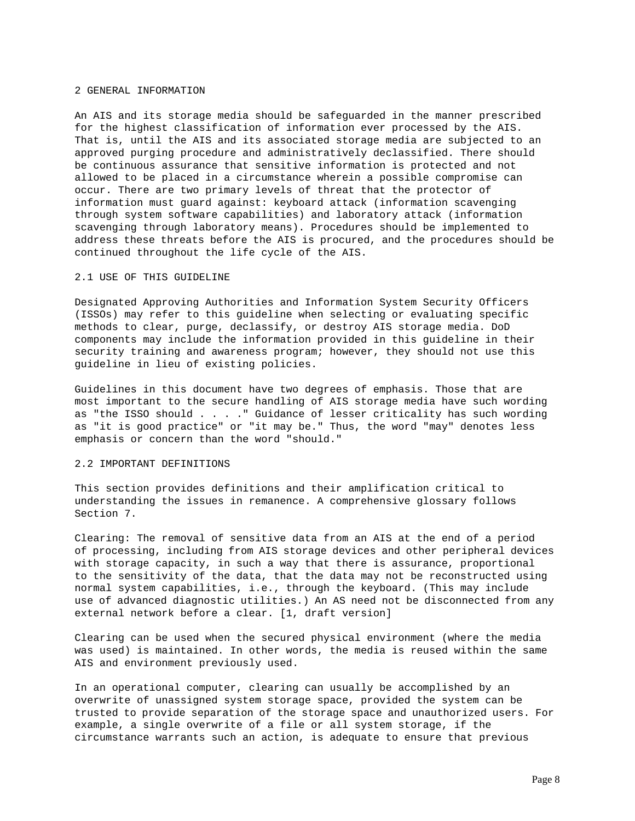#### 2 GENERAL INFORMATION

An AIS and its storage media should be safeguarded in the manner prescribed for the highest classification of information ever processed by the AIS. That is, until the AIS and its associated storage media are subjected to an approved purging procedure and administratively declassified. There should be continuous assurance that sensitive information is protected and not allowed to be placed in a circumstance wherein a possible compromise can occur. There are two primary levels of threat that the protector of information must guard against: keyboard attack (information scavenging through system software capabilities) and laboratory attack (information scavenging through laboratory means). Procedures should be implemented to address these threats before the AIS is procured, and the procedures should be continued throughout the life cycle of the AIS.

## 2.1 USE OF THIS GUIDELINE

Designated Approving Authorities and Information System Security Officers (ISSOs) may refer to this guideline when selecting or evaluating specific methods to clear, purge, declassify, or destroy AIS storage media. DoD components may include the information provided in this guideline in their security training and awareness program; however, they should not use this guideline in lieu of existing policies.

Guidelines in this document have two degrees of emphasis. Those that are most important to the secure handling of AIS storage media have such wording as "the ISSO should . . . ." Guidance of lesser criticality has such wording as "it is good practice" or "it may be." Thus, the word "may" denotes less emphasis or concern than the word "should."

## 2.2 IMPORTANT DEFINITIONS

This section provides definitions and their amplification critical to understanding the issues in remanence. A comprehensive glossary follows Section 7.

Clearing: The removal of sensitive data from an AIS at the end of a period of processing, including from AIS storage devices and other peripheral devices with storage capacity, in such a way that there is assurance, proportional to the sensitivity of the data, that the data may not be reconstructed using normal system capabilities, i.e., through the keyboard. (This may include use of advanced diagnostic utilities.) An AS need not be disconnected from any external network before a clear. [1, draft version]

Clearing can be used when the secured physical environment (where the media was used) is maintained. In other words, the media is reused within the same AIS and environment previously used.

In an operational computer, clearing can usually be accomplished by an overwrite of unassigned system storage space, provided the system can be trusted to provide separation of the storage space and unauthorized users. For example, a single overwrite of a file or all system storage, if the circumstance warrants such an action, is adequate to ensure that previous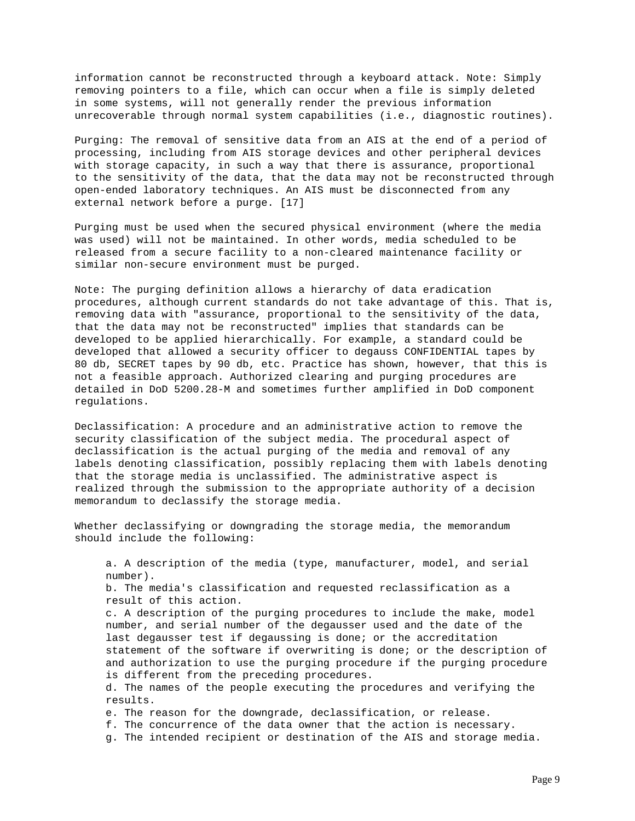information cannot be reconstructed through a keyboard attack. Note: Simply removing pointers to a file, which can occur when a file is simply deleted in some systems, will not generally render the previous information unrecoverable through normal system capabilities (i.e., diagnostic routines).

Purging: The removal of sensitive data from an AIS at the end of a period of processing, including from AIS storage devices and other peripheral devices with storage capacity, in such a way that there is assurance, proportional to the sensitivity of the data, that the data may not be reconstructed through open-ended laboratory techniques. An AIS must be disconnected from any external network before a purge. [17]

Purging must be used when the secured physical environment (where the media was used) will not be maintained. In other words, media scheduled to be released from a secure facility to a non-cleared maintenance facility or similar non-secure environment must be purged.

Note: The purging definition allows a hierarchy of data eradication procedures, although current standards do not take advantage of this. That is, removing data with "assurance, proportional to the sensitivity of the data, that the data may not be reconstructed" implies that standards can be developed to be applied hierarchically. For example, a standard could be developed that allowed a security officer to degauss CONFIDENTIAL tapes by 80 db, SECRET tapes by 90 db, etc. Practice has shown, however, that this is not a feasible approach. Authorized clearing and purging procedures are detailed in DoD 5200.28-M and sometimes further amplified in DoD component regulations.

Declassification: A procedure and an administrative action to remove the security classification of the subject media. The procedural aspect of declassification is the actual purging of the media and removal of any labels denoting classification, possibly replacing them with labels denoting that the storage media is unclassified. The administrative aspect is realized through the submission to the appropriate authority of a decision memorandum to declassify the storage media.

Whether declassifying or downgrading the storage media, the memorandum should include the following:

 a. A description of the media (type, manufacturer, model, and serial number). b. The media's classification and requested reclassification as a result of this action. c. A description of the purging procedures to include the make, model number, and serial number of the degausser used and the date of the last degausser test if degaussing is done; or the accreditation statement of the software if overwriting is done; or the description of and authorization to use the purging procedure if the purging procedure is different from the preceding procedures. d. The names of the people executing the procedures and verifying the results. e. The reason for the downgrade, declassification, or release. f. The concurrence of the data owner that the action is necessary. g. The intended recipient or destination of the AIS and storage media.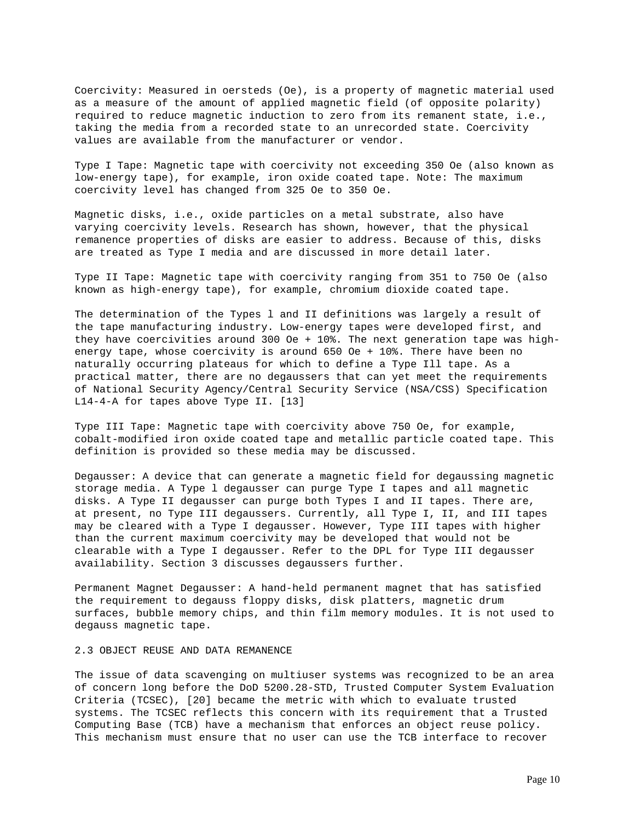Coercivity: Measured in oersteds (Oe), is a property of magnetic material used as a measure of the amount of applied magnetic field (of opposite polarity) required to reduce magnetic induction to zero from its remanent state, i.e., taking the media from a recorded state to an unrecorded state. Coercivity values are available from the manufacturer or vendor.

Type I Tape: Magnetic tape with coercivity not exceeding 350 Oe (also known as low-energy tape), for example, iron oxide coated tape. Note: The maximum coercivity level has changed from 325 Oe to 350 Oe.

Magnetic disks, i.e., oxide particles on a metal substrate, also have varying coercivity levels. Research has shown, however, that the physical remanence properties of disks are easier to address. Because of this, disks are treated as Type I media and are discussed in more detail later.

Type II Tape: Magnetic tape with coercivity ranging from 351 to 750 Oe (also known as high-energy tape), for example, chromium dioxide coated tape.

The determination of the Types l and II definitions was largely a result of the tape manufacturing industry. Low-energy tapes were developed first, and they have coercivities around 300 Oe + 10%. The next generation tape was highenergy tape, whose coercivity is around 650 Oe + 10%. There have been no naturally occurring plateaus for which to define a Type Ill tape. As a practical matter, there are no degaussers that can yet meet the requirements of National Security Agency/Central Security Service (NSA/CSS) Specification L14-4-A for tapes above Type II. [13]

Type III Tape: Magnetic tape with coercivity above 750 Oe, for example, cobalt-modified iron oxide coated tape and metallic particle coated tape. This definition is provided so these media may be discussed.

Degausser: A device that can generate a magnetic field for degaussing magnetic storage media. A Type l degausser can purge Type I tapes and all magnetic disks. A Type II degausser can purge both Types I and II tapes. There are, at present, no Type III degaussers. Currently, all Type I, II, and III tapes may be cleared with a Type I degausser. However, Type III tapes with higher than the current maximum coercivity may be developed that would not be clearable with a Type I degausser. Refer to the DPL for Type III degausser availability. Section 3 discusses degaussers further.

Permanent Magnet Degausser: A hand-held permanent magnet that has satisfied the requirement to degauss floppy disks, disk platters, magnetic drum surfaces, bubble memory chips, and thin film memory modules. It is not used to degauss magnetic tape.

## 2.3 OBJECT REUSE AND DATA REMANENCE

The issue of data scavenging on multiuser systems was recognized to be an area of concern long before the DoD 5200.28-STD, Trusted Computer System Evaluation Criteria (TCSEC), [20] became the metric with which to evaluate trusted systems. The TCSEC reflects this concern with its requirement that a Trusted Computing Base (TCB) have a mechanism that enforces an object reuse policy. This mechanism must ensure that no user can use the TCB interface to recover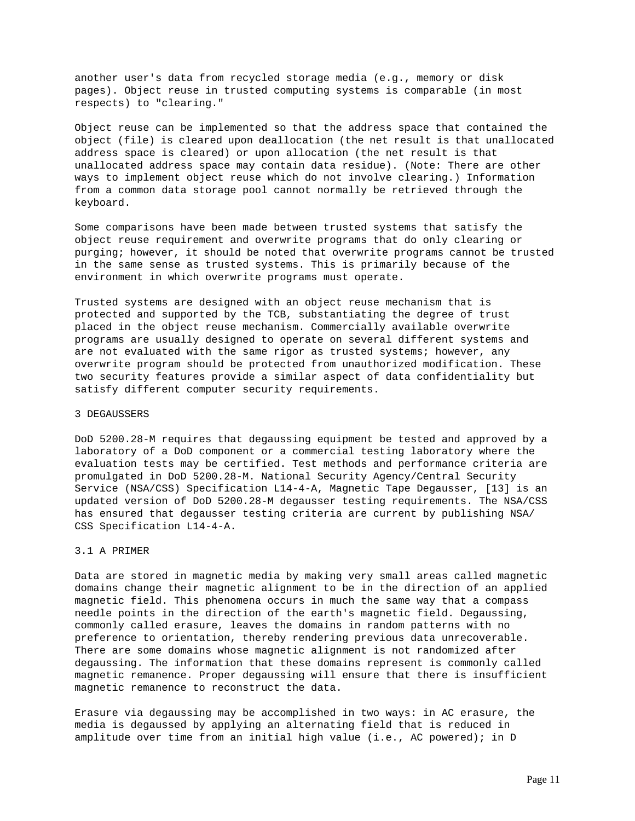another user's data from recycled storage media (e.g., memory or disk pages). Object reuse in trusted computing systems is comparable (in most respects) to "clearing."

Object reuse can be implemented so that the address space that contained the object (file) is cleared upon deallocation (the net result is that unallocated address space is cleared) or upon allocation (the net result is that unallocated address space may contain data residue). (Note: There are other ways to implement object reuse which do not involve clearing.) Information from a common data storage pool cannot normally be retrieved through the keyboard.

Some comparisons have been made between trusted systems that satisfy the object reuse requirement and overwrite programs that do only clearing or purging; however, it should be noted that overwrite programs cannot be trusted in the same sense as trusted systems. This is primarily because of the environment in which overwrite programs must operate.

Trusted systems are designed with an object reuse mechanism that is protected and supported by the TCB, substantiating the degree of trust placed in the object reuse mechanism. Commercially available overwrite programs are usually designed to operate on several different systems and are not evaluated with the same rigor as trusted systems; however, any overwrite program should be protected from unauthorized modification. These two security features provide a similar aspect of data confidentiality but satisfy different computer security requirements.

## 3 DEGAUSSERS

DoD 5200.28-M requires that degaussing equipment be tested and approved by a laboratory of a DoD component or a commercial testing laboratory where the evaluation tests may be certified. Test methods and performance criteria are promulgated in DoD 5200.28-M. National Security Agency/Central Security Service (NSA/CSS) Specification L14-4-A, Magnetic Tape Degausser, [13] is an updated version of DoD 5200.28-M degausser testing requirements. The NSA/CSS has ensured that degausser testing criteria are current by publishing NSA/ CSS Specification L14-4-A.

## 3.1 A PRIMER

Data are stored in magnetic media by making very small areas called magnetic domains change their magnetic alignment to be in the direction of an applied magnetic field. This phenomena occurs in much the same way that a compass needle points in the direction of the earth's magnetic field. Degaussing, commonly called erasure, leaves the domains in random patterns with no preference to orientation, thereby rendering previous data unrecoverable. There are some domains whose magnetic alignment is not randomized after degaussing. The information that these domains represent is commonly called magnetic remanence. Proper degaussing will ensure that there is insufficient magnetic remanence to reconstruct the data.

Erasure via degaussing may be accomplished in two ways: in AC erasure, the media is degaussed by applying an alternating field that is reduced in amplitude over time from an initial high value (i.e., AC powered); in D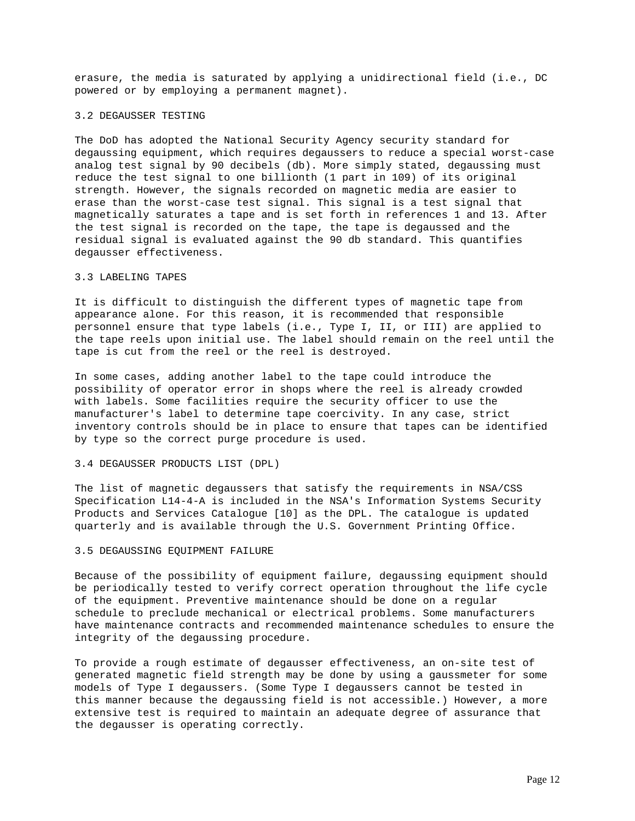erasure, the media is saturated by applying a unidirectional field (i.e., DC powered or by employing a permanent magnet).

## 3.2 DEGAUSSER TESTING

The DoD has adopted the National Security Agency security standard for degaussing equipment, which requires degaussers to reduce a special worst-case analog test signal by 90 decibels (db). More simply stated, degaussing must reduce the test signal to one billionth (1 part in 109) of its original strength. However, the signals recorded on magnetic media are easier to erase than the worst-case test signal. This signal is a test signal that magnetically saturates a tape and is set forth in references 1 and 13. After the test signal is recorded on the tape, the tape is degaussed and the residual signal is evaluated against the 90 db standard. This quantifies degausser effectiveness.

# 3.3 LABELING TAPES

It is difficult to distinguish the different types of magnetic tape from appearance alone. For this reason, it is recommended that responsible personnel ensure that type labels (i.e., Type I, II, or III) are applied to the tape reels upon initial use. The label should remain on the reel until the tape is cut from the reel or the reel is destroyed.

In some cases, adding another label to the tape could introduce the possibility of operator error in shops where the reel is already crowded with labels. Some facilities require the security officer to use the manufacturer's label to determine tape coercivity. In any case, strict inventory controls should be in place to ensure that tapes can be identified by type so the correct purge procedure is used.

#### 3.4 DEGAUSSER PRODUCTS LIST (DPL)

The list of magnetic degaussers that satisfy the requirements in NSA/CSS Specification L14-4-A is included in the NSA's Information Systems Security Products and Services Catalogue [10] as the DPL. The catalogue is updated quarterly and is available through the U.S. Government Printing Office.

#### 3.5 DEGAUSSING EQUIPMENT FAILURE

Because of the possibility of equipment failure, degaussing equipment should be periodically tested to verify correct operation throughout the life cycle of the equipment. Preventive maintenance should be done on a regular schedule to preclude mechanical or electrical problems. Some manufacturers have maintenance contracts and recommended maintenance schedules to ensure the integrity of the degaussing procedure.

To provide a rough estimate of degausser effectiveness, an on-site test of generated magnetic field strength may be done by using a gaussmeter for some models of Type I degaussers. (Some Type I degaussers cannot be tested in this manner because the degaussing field is not accessible.) However, a more extensive test is required to maintain an adequate degree of assurance that the degausser is operating correctly.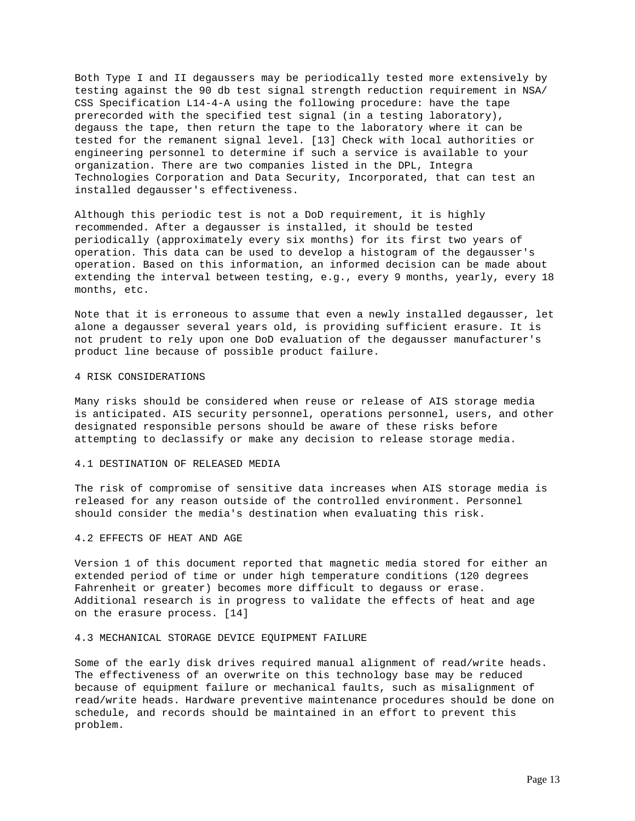Both Type I and II degaussers may be periodically tested more extensively by testing against the 90 db test signal strength reduction requirement in NSA/ CSS Specification L14-4-A using the following procedure: have the tape prerecorded with the specified test signal (in a testing laboratory), degauss the tape, then return the tape to the laboratory where it can be tested for the remanent signal level. [13] Check with local authorities or engineering personnel to determine if such a service is available to your organization. There are two companies listed in the DPL, Integra Technologies Corporation and Data Security, Incorporated, that can test an installed degausser's effectiveness.

Although this periodic test is not a DoD requirement, it is highly recommended. After a degausser is installed, it should be tested periodically (approximately every six months) for its first two years of operation. This data can be used to develop a histogram of the degausser's operation. Based on this information, an informed decision can be made about extending the interval between testing, e.g., every 9 months, yearly, every 18 months, etc.

Note that it is erroneous to assume that even a newly installed degausser, let alone a degausser several years old, is providing sufficient erasure. It is not prudent to rely upon one DoD evaluation of the degausser manufacturer's product line because of possible product failure.

## 4 RISK CONSIDERATIONS

Many risks should be considered when reuse or release of AIS storage media is anticipated. AIS security personnel, operations personnel, users, and other designated responsible persons should be aware of these risks before attempting to declassify or make any decision to release storage media.

## 4.1 DESTINATION OF RELEASED MEDIA

The risk of compromise of sensitive data increases when AIS storage media is released for any reason outside of the controlled environment. Personnel should consider the media's destination when evaluating this risk.

#### 4.2 EFFECTS OF HEAT AND AGE

Version 1 of this document reported that magnetic media stored for either an extended period of time or under high temperature conditions (120 degrees Fahrenheit or greater) becomes more difficult to degauss or erase. Additional research is in progress to validate the effects of heat and age on the erasure process. [14]

## 4.3 MECHANICAL STORAGE DEVICE EQUIPMENT FAILURE

Some of the early disk drives required manual alignment of read/write heads. The effectiveness of an overwrite on this technology base may be reduced because of equipment failure or mechanical faults, such as misalignment of read/write heads. Hardware preventive maintenance procedures should be done on schedule, and records should be maintained in an effort to prevent this problem.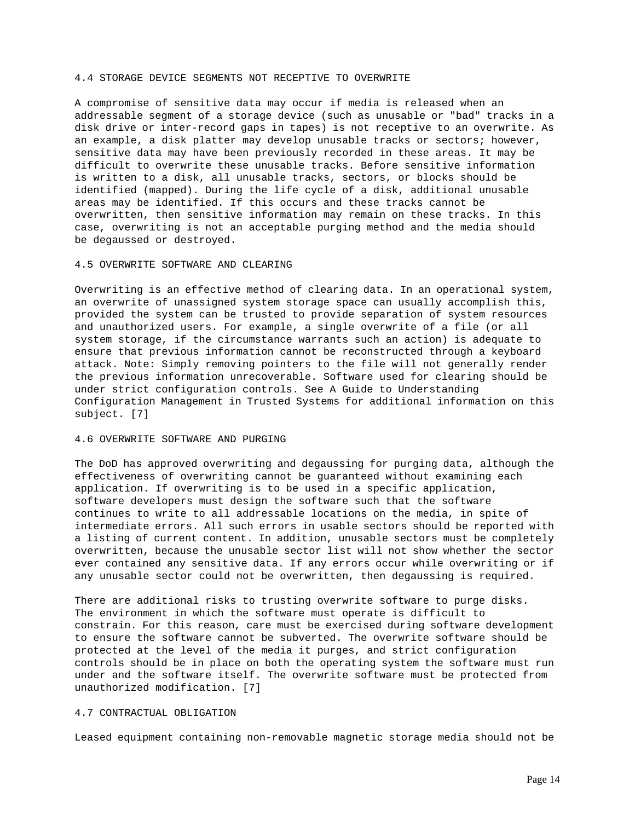## 4.4 STORAGE DEVICE SEGMENTS NOT RECEPTIVE TO OVERWRITE

A compromise of sensitive data may occur if media is released when an addressable segment of a storage device (such as unusable or "bad" tracks in a disk drive or inter-record gaps in tapes) is not receptive to an overwrite. As an example, a disk platter may develop unusable tracks or sectors; however, sensitive data may have been previously recorded in these areas. It may be difficult to overwrite these unusable tracks. Before sensitive information is written to a disk, all unusable tracks, sectors, or blocks should be identified (mapped). During the life cycle of a disk, additional unusable areas may be identified. If this occurs and these tracks cannot be overwritten, then sensitive information may remain on these tracks. In this case, overwriting is not an acceptable purging method and the media should be degaussed or destroyed.

#### 4.5 OVERWRITE SOFTWARE AND CLEARING

Overwriting is an effective method of clearing data. In an operational system, an overwrite of unassigned system storage space can usually accomplish this, provided the system can be trusted to provide separation of system resources and unauthorized users. For example, a single overwrite of a file (or all system storage, if the circumstance warrants such an action) is adequate to ensure that previous information cannot be reconstructed through a keyboard attack. Note: Simply removing pointers to the file will not generally render the previous information unrecoverable. Software used for clearing should be under strict configuration controls. See A Guide to Understanding Configuration Management in Trusted Systems for additional information on this subject. [7]

## 4.6 OVERWRITE SOFTWARE AND PURGING

The DoD has approved overwriting and degaussing for purging data, although the effectiveness of overwriting cannot be guaranteed without examining each application. If overwriting is to be used in a specific application, software developers must design the software such that the software continues to write to all addressable locations on the media, in spite of intermediate errors. All such errors in usable sectors should be reported with a listing of current content. In addition, unusable sectors must be completely overwritten, because the unusable sector list will not show whether the sector ever contained any sensitive data. If any errors occur while overwriting or if any unusable sector could not be overwritten, then degaussing is required.

There are additional risks to trusting overwrite software to purge disks. The environment in which the software must operate is difficult to constrain. For this reason, care must be exercised during software development to ensure the software cannot be subverted. The overwrite software should be protected at the level of the media it purges, and strict configuration controls should be in place on both the operating system the software must run under and the software itself. The overwrite software must be protected from unauthorized modification. [7]

## 4.7 CONTRACTUAL OBLIGATION

Leased equipment containing non-removable magnetic storage media should not be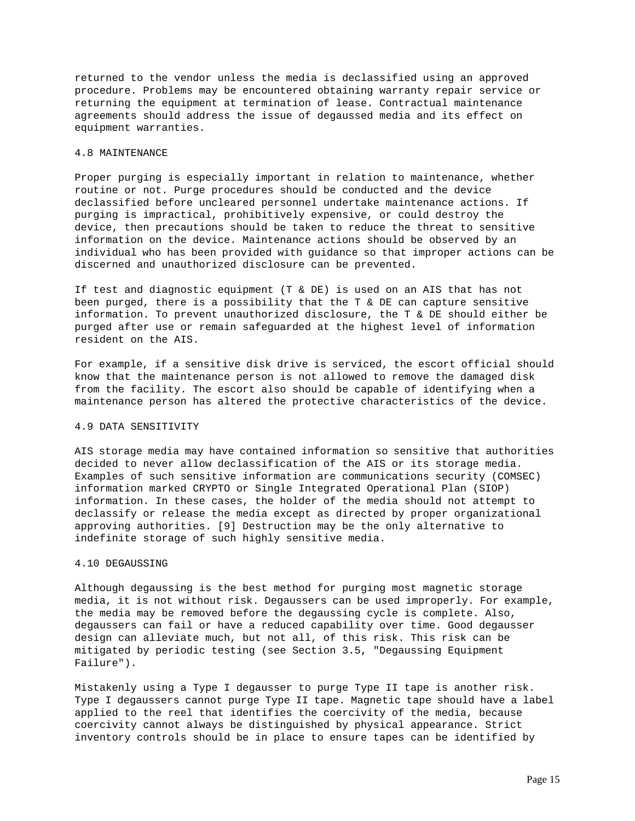returned to the vendor unless the media is declassified using an approved procedure. Problems may be encountered obtaining warranty repair service or returning the equipment at termination of lease. Contractual maintenance agreements should address the issue of degaussed media and its effect on equipment warranties.

## 4.8 MAINTENANCE

Proper purging is especially important in relation to maintenance, whether routine or not. Purge procedures should be conducted and the device declassified before uncleared personnel undertake maintenance actions. If purging is impractical, prohibitively expensive, or could destroy the device, then precautions should be taken to reduce the threat to sensitive information on the device. Maintenance actions should be observed by an individual who has been provided with guidance so that improper actions can be discerned and unauthorized disclosure can be prevented.

If test and diagnostic equipment (T & DE) is used on an AIS that has not been purged, there is a possibility that the T & DE can capture sensitive information. To prevent unauthorized disclosure, the T & DE should either be purged after use or remain safeguarded at the highest level of information resident on the AIS.

For example, if a sensitive disk drive is serviced, the escort official should know that the maintenance person is not allowed to remove the damaged disk from the facility. The escort also should be capable of identifying when a maintenance person has altered the protective characteristics of the device.

#### 4.9 DATA SENSITIVITY

AIS storage media may have contained information so sensitive that authorities decided to never allow declassification of the AIS or its storage media. Examples of such sensitive information are communications security (COMSEC) information marked CRYPTO or Single Integrated Operational Plan (SIOP) information. In these cases, the holder of the media should not attempt to declassify or release the media except as directed by proper organizational approving authorities. [9] Destruction may be the only alternative to indefinite storage of such highly sensitive media.

## 4.10 DEGAUSSING

Although degaussing is the best method for purging most magnetic storage media, it is not without risk. Degaussers can be used improperly. For example, the media may be removed before the degaussing cycle is complete. Also, degaussers can fail or have a reduced capability over time. Good degausser design can alleviate much, but not all, of this risk. This risk can be mitigated by periodic testing (see Section 3.5, "Degaussing Equipment Failure").

Mistakenly using a Type I degausser to purge Type II tape is another risk. Type I degaussers cannot purge Type II tape. Magnetic tape should have a label applied to the reel that identifies the coercivity of the media, because coercivity cannot always be distinguished by physical appearance. Strict inventory controls should be in place to ensure tapes can be identified by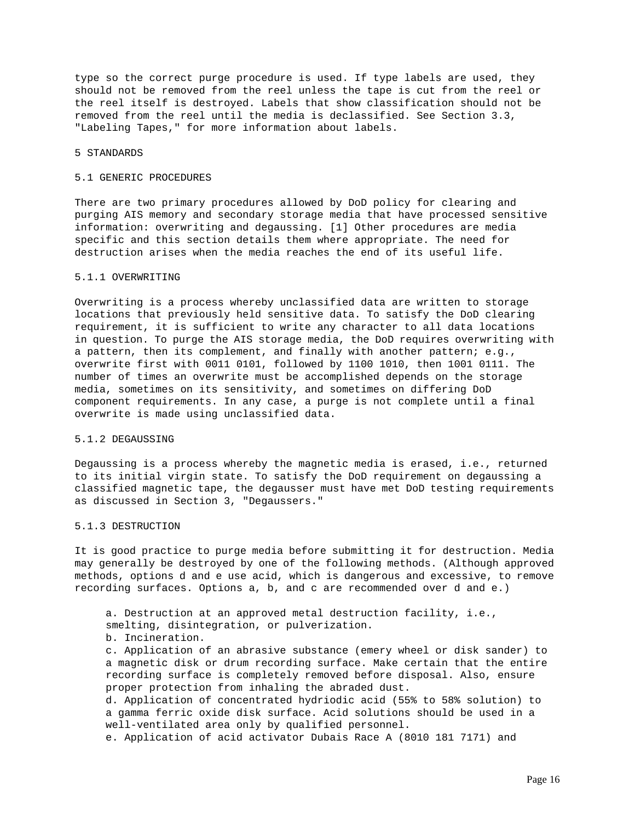type so the correct purge procedure is used. If type labels are used, they should not be removed from the reel unless the tape is cut from the reel or the reel itself is destroyed. Labels that show classification should not be removed from the reel until the media is declassified. See Section 3.3, "Labeling Tapes," for more information about labels.

#### 5 STANDARDS

## 5.1 GENERIC PROCEDURES

There are two primary procedures allowed by DoD policy for clearing and purging AIS memory and secondary storage media that have processed sensitive information: overwriting and degaussing. [1] Other procedures are media specific and this section details them where appropriate. The need for destruction arises when the media reaches the end of its useful life.

# 5.1.1 OVERWRITING

Overwriting is a process whereby unclassified data are written to storage locations that previously held sensitive data. To satisfy the DoD clearing requirement, it is sufficient to write any character to all data locations in question. To purge the AIS storage media, the DoD requires overwriting with a pattern, then its complement, and finally with another pattern; e.g., overwrite first with 0011 0101, followed by 1100 1010, then 1001 0111. The number of times an overwrite must be accomplished depends on the storage media, sometimes on its sensitivity, and sometimes on differing DoD component requirements. In any case, a purge is not complete until a final overwrite is made using unclassified data.

#### 5.1.2 DEGAUSSING

Degaussing is a process whereby the magnetic media is erased, i.e., returned to its initial virgin state. To satisfy the DoD requirement on degaussing a classified magnetic tape, the degausser must have met DoD testing requirements as discussed in Section 3, "Degaussers."

## 5.1.3 DESTRUCTION

It is good practice to purge media before submitting it for destruction. Media may generally be destroyed by one of the following methods. (Although approved methods, options d and e use acid, which is dangerous and excessive, to remove recording surfaces. Options a, b, and c are recommended over d and e.)

 a. Destruction at an approved metal destruction facility, i.e., smelting, disintegration, or pulverization. b. Incineration. c. Application of an abrasive substance (emery wheel or disk sander) to a magnetic disk or drum recording surface. Make certain that the entire recording surface is completely removed before disposal. Also, ensure proper protection from inhaling the abraded dust. d. Application of concentrated hydriodic acid (55% to 58% solution) to a gamma ferric oxide disk surface. Acid solutions should be used in a well-ventilated area only by qualified personnel.

e. Application of acid activator Dubais Race A (8010 181 7171) and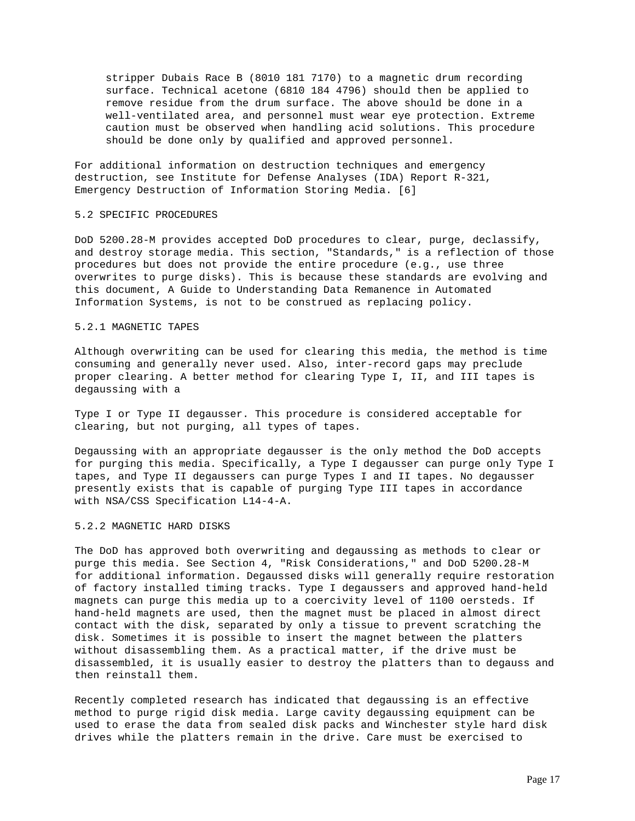stripper Dubais Race B (8010 181 7170) to a magnetic drum recording surface. Technical acetone (6810 184 4796) should then be applied to remove residue from the drum surface. The above should be done in a well-ventilated area, and personnel must wear eye protection. Extreme caution must be observed when handling acid solutions. This procedure should be done only by qualified and approved personnel.

For additional information on destruction techniques and emergency destruction, see Institute for Defense Analyses (IDA) Report R-321, Emergency Destruction of Information Storing Media. [6]

## 5.2 SPECIFIC PROCEDURES

DoD 5200.28-M provides accepted DoD procedures to clear, purge, declassify, and destroy storage media. This section, "Standards," is a reflection of those procedures but does not provide the entire procedure (e.g., use three overwrites to purge disks). This is because these standards are evolving and this document, A Guide to Understanding Data Remanence in Automated Information Systems, is not to be construed as replacing policy.

# 5.2.1 MAGNETIC TAPES

Although overwriting can be used for clearing this media, the method is time consuming and generally never used. Also, inter-record gaps may preclude proper clearing. A better method for clearing Type I, II, and III tapes is degaussing with a

Type I or Type II degausser. This procedure is considered acceptable for clearing, but not purging, all types of tapes.

Degaussing with an appropriate degausser is the only method the DoD accepts for purging this media. Specifically, a Type I degausser can purge only Type I tapes, and Type II degaussers can purge Types I and II tapes. No degausser presently exists that is capable of purging Type III tapes in accordance with NSA/CSS Specification L14-4-A.

## 5.2.2 MAGNETIC HARD DISKS

The DoD has approved both overwriting and degaussing as methods to clear or purge this media. See Section 4, "Risk Considerations," and DoD 5200.28-M for additional information. Degaussed disks will generally require restoration of factory installed timing tracks. Type I degaussers and approved hand-held magnets can purge this media up to a coercivity level of 1100 oersteds. If hand-held magnets are used, then the magnet must be placed in almost direct contact with the disk, separated by only a tissue to prevent scratching the disk. Sometimes it is possible to insert the magnet between the platters without disassembling them. As a practical matter, if the drive must be disassembled, it is usually easier to destroy the platters than to degauss and then reinstall them.

Recently completed research has indicated that degaussing is an effective method to purge rigid disk media. Large cavity degaussing equipment can be used to erase the data from sealed disk packs and Winchester style hard disk drives while the platters remain in the drive. Care must be exercised to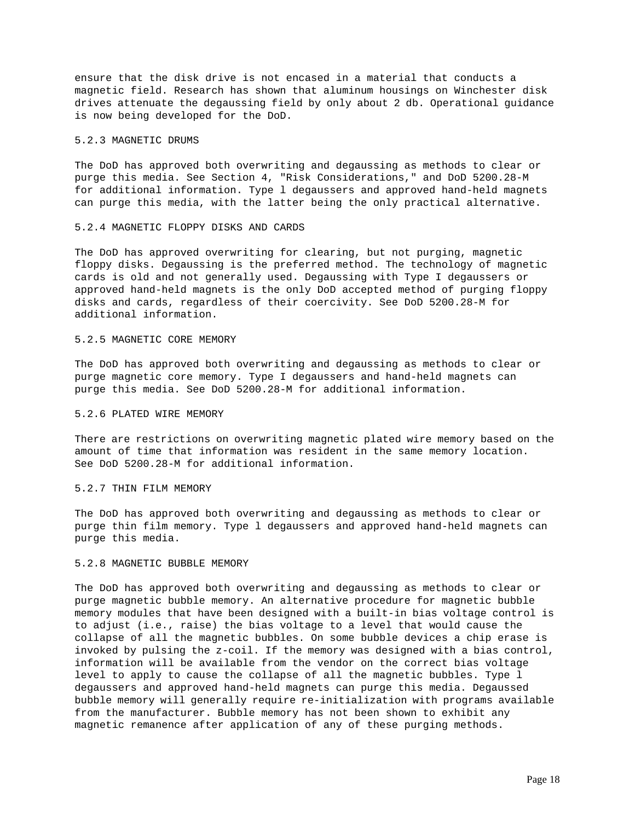ensure that the disk drive is not encased in a material that conducts a magnetic field. Research has shown that aluminum housings on Winchester disk drives attenuate the degaussing field by only about 2 db. Operational guidance is now being developed for the DoD.

## 5.2.3 MAGNETIC DRUMS

The DoD has approved both overwriting and degaussing as methods to clear or purge this media. See Section 4, "Risk Considerations," and DoD 5200.28-M for additional information. Type l degaussers and approved hand-held magnets can purge this media, with the latter being the only practical alternative.

# 5.2.4 MAGNETIC FLOPPY DISKS AND CARDS

The DoD has approved overwriting for clearing, but not purging, magnetic floppy disks. Degaussing is the preferred method. The technology of magnetic cards is old and not generally used. Degaussing with Type I degaussers or approved hand-held magnets is the only DoD accepted method of purging floppy disks and cards, regardless of their coercivity. See DoD 5200.28-M for additional information.

# 5.2.5 MAGNETIC CORE MEMORY

The DoD has approved both overwriting and degaussing as methods to clear or purge magnetic core memory. Type I degaussers and hand-held magnets can purge this media. See DoD 5200.28-M for additional information.

## 5.2.6 PLATED WIRE MEMORY

There are restrictions on overwriting magnetic plated wire memory based on the amount of time that information was resident in the same memory location. See DoD 5200.28-M for additional information.

## 5.2.7 THIN FILM MEMORY

The DoD has approved both overwriting and degaussing as methods to clear or purge thin film memory. Type l degaussers and approved hand-held magnets can purge this media.

#### 5.2.8 MAGNETIC BUBBLE MEMORY

The DoD has approved both overwriting and degaussing as methods to clear or purge magnetic bubble memory. An alternative procedure for magnetic bubble memory modules that have been designed with a built-in bias voltage control is to adjust (i.e., raise) the bias voltage to a level that would cause the collapse of all the magnetic bubbles. On some bubble devices a chip erase is invoked by pulsing the z-coil. If the memory was designed with a bias control, information will be available from the vendor on the correct bias voltage level to apply to cause the collapse of all the magnetic bubbles. Type l degaussers and approved hand-held magnets can purge this media. Degaussed bubble memory will generally require re-initialization with programs available from the manufacturer. Bubble memory has not been shown to exhibit any magnetic remanence after application of any of these purging methods.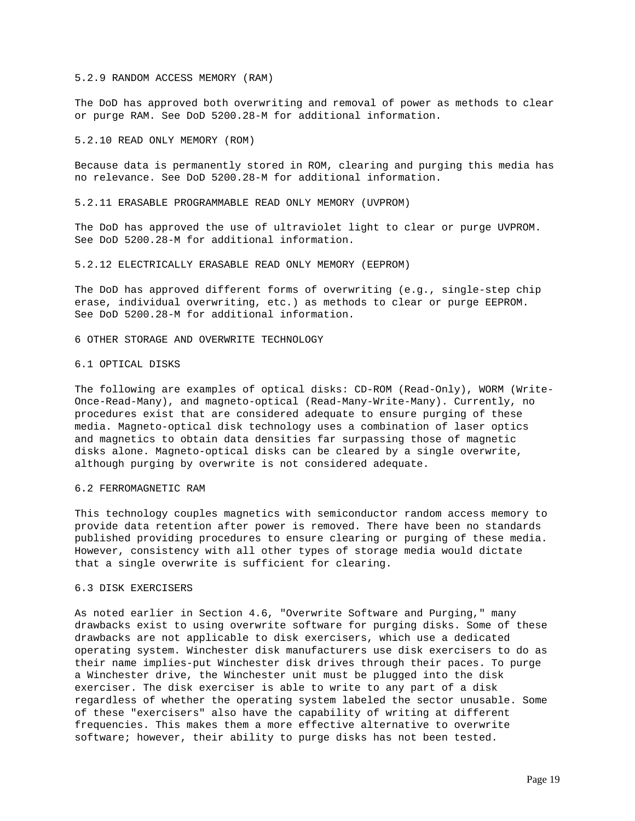#### 5.2.9 RANDOM ACCESS MEMORY (RAM)

The DoD has approved both overwriting and removal of power as methods to clear or purge RAM. See DoD 5200.28-M for additional information.

5.2.10 READ ONLY MEMORY (ROM)

Because data is permanently stored in ROM, clearing and purging this media has no relevance. See DoD 5200.28-M for additional information.

5.2.11 ERASABLE PROGRAMMABLE READ ONLY MEMORY (UVPROM)

The DoD has approved the use of ultraviolet light to clear or purge UVPROM. See DoD 5200.28-M for additional information.

5.2.12 ELECTRICALLY ERASABLE READ ONLY MEMORY (EEPROM)

The DoD has approved different forms of overwriting (e.g., single-step chip erase, individual overwriting, etc.) as methods to clear or purge EEPROM. See DoD 5200.28-M for additional information.

6 OTHER STORAGE AND OVERWRITE TECHNOLOGY

#### 6.1 OPTICAL DISKS

The following are examples of optical disks: CD-ROM (Read-Only), WORM (Write-Once-Read-Many), and magneto-optical (Read-Many-Write-Many). Currently, no procedures exist that are considered adequate to ensure purging of these media. Magneto-optical disk technology uses a combination of laser optics and magnetics to obtain data densities far surpassing those of magnetic disks alone. Magneto-optical disks can be cleared by a single overwrite, although purging by overwrite is not considered adequate.

6.2 FERROMAGNETIC RAM

This technology couples magnetics with semiconductor random access memory to provide data retention after power is removed. There have been no standards published providing procedures to ensure clearing or purging of these media. However, consistency with all other types of storage media would dictate that a single overwrite is sufficient for clearing.

## 6.3 DISK EXERCISERS

As noted earlier in Section 4.6, "Overwrite Software and Purging," many drawbacks exist to using overwrite software for purging disks. Some of these drawbacks are not applicable to disk exercisers, which use a dedicated operating system. Winchester disk manufacturers use disk exercisers to do as their name implies-put Winchester disk drives through their paces. To purge a Winchester drive, the Winchester unit must be plugged into the disk exerciser. The disk exerciser is able to write to any part of a disk regardless of whether the operating system labeled the sector unusable. Some of these "exercisers" also have the capability of writing at different frequencies. This makes them a more effective alternative to overwrite software; however, their ability to purge disks has not been tested.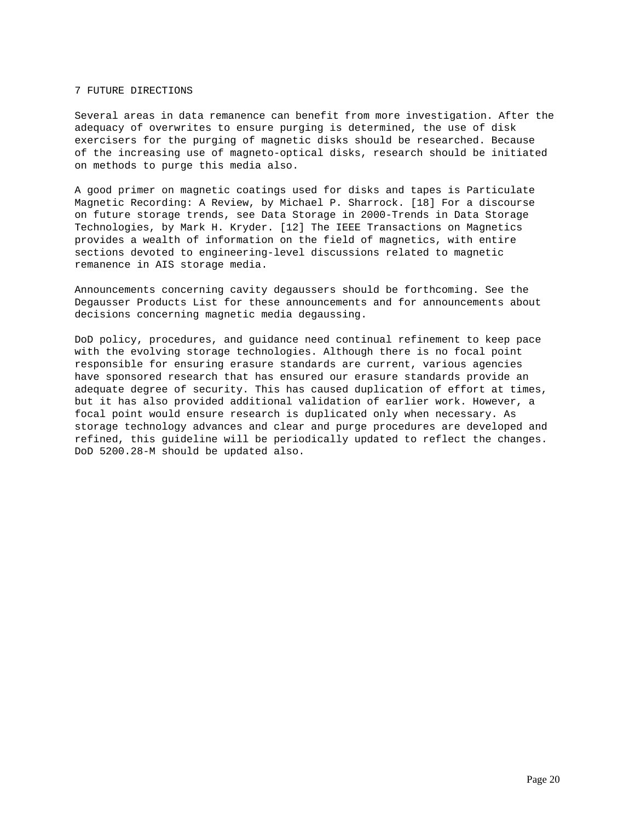# 7 FUTURE DIRECTIONS

Several areas in data remanence can benefit from more investigation. After the adequacy of overwrites to ensure purging is determined, the use of disk exercisers for the purging of magnetic disks should be researched. Because of the increasing use of magneto-optical disks, research should be initiated on methods to purge this media also.

A good primer on magnetic coatings used for disks and tapes is Particulate Magnetic Recording: A Review, by Michael P. Sharrock. [18] For a discourse on future storage trends, see Data Storage in 2000-Trends in Data Storage Technologies, by Mark H. Kryder. [12] The IEEE Transactions on Magnetics provides a wealth of information on the field of magnetics, with entire sections devoted to engineering-level discussions related to magnetic remanence in AIS storage media.

Announcements concerning cavity degaussers should be forthcoming. See the Degausser Products List for these announcements and for announcements about decisions concerning magnetic media degaussing.

DoD policy, procedures, and guidance need continual refinement to keep pace with the evolving storage technologies. Although there is no focal point responsible for ensuring erasure standards are current, various agencies have sponsored research that has ensured our erasure standards provide an adequate degree of security. This has caused duplication of effort at times, but it has also provided additional validation of earlier work. However, a focal point would ensure research is duplicated only when necessary. As storage technology advances and clear and purge procedures are developed and refined, this guideline will be periodically updated to reflect the changes. DoD 5200.28-M should be updated also.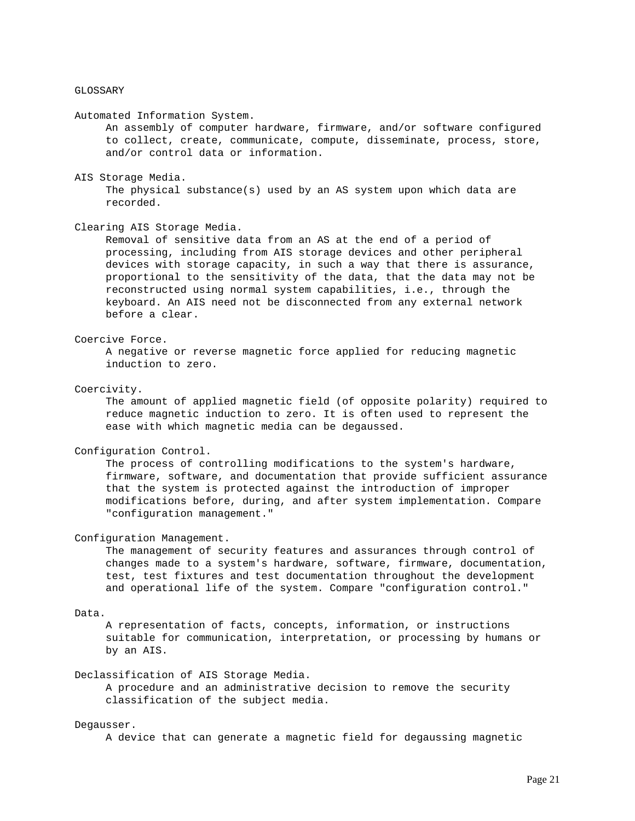## GLOSSARY

Automated Information System.

 An assembly of computer hardware, firmware, and/or software configured to collect, create, communicate, compute, disseminate, process, store, and/or control data or information.

#### AIS Storage Media.

 The physical substance(s) used by an AS system upon which data are recorded.

## Clearing AIS Storage Media.

 Removal of sensitive data from an AS at the end of a period of processing, including from AIS storage devices and other peripheral devices with storage capacity, in such a way that there is assurance, proportional to the sensitivity of the data, that the data may not be reconstructed using normal system capabilities, i.e., through the keyboard. An AIS need not be disconnected from any external network before a clear.

## Coercive Force.

 A negative or reverse magnetic force applied for reducing magnetic induction to zero.

## Coercivity.

 The amount of applied magnetic field (of opposite polarity) required to reduce magnetic induction to zero. It is often used to represent the ease with which magnetic media can be degaussed.

#### Configuration Control.

 The process of controlling modifications to the system's hardware, firmware, software, and documentation that provide sufficient assurance that the system is protected against the introduction of improper modifications before, during, and after system implementation. Compare "configuration management."

#### Configuration Management.

 The management of security features and assurances through control of changes made to a system's hardware, software, firmware, documentation, test, test fixtures and test documentation throughout the development and operational life of the system. Compare "configuration control."

#### Data.

 A representation of facts, concepts, information, or instructions suitable for communication, interpretation, or processing by humans or by an AIS.

## Declassification of AIS Storage Media.

 A procedure and an administrative decision to remove the security classification of the subject media.

### Degausser.

A device that can generate a magnetic field for degaussing magnetic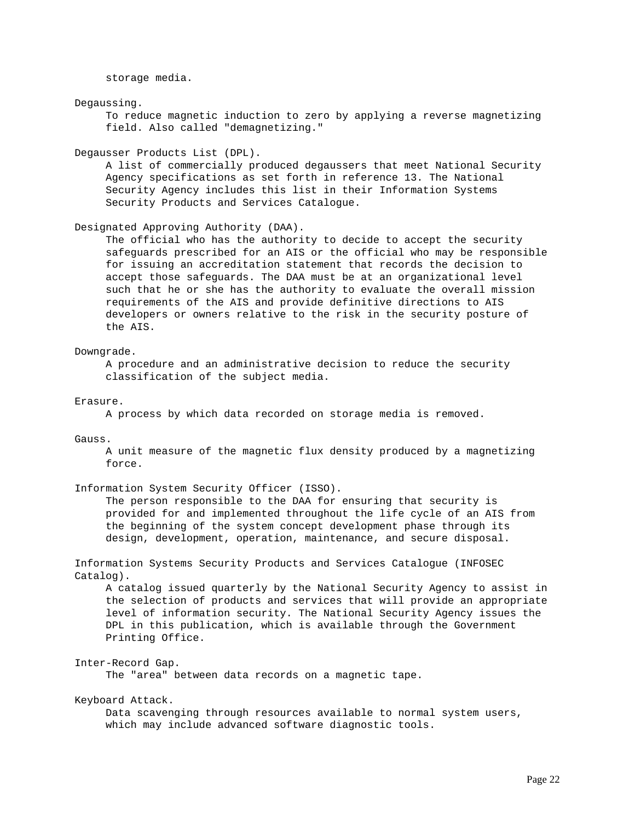storage media.

#### Degaussing.

 To reduce magnetic induction to zero by applying a reverse magnetizing field. Also called "demagnetizing."

#### Degausser Products List (DPL).

 A list of commercially produced degaussers that meet National Security Agency specifications as set forth in reference 13. The National Security Agency includes this list in their Information Systems Security Products and Services Catalogue.

## Designated Approving Authority (DAA).

 The official who has the authority to decide to accept the security safeguards prescribed for an AIS or the official who may be responsible for issuing an accreditation statement that records the decision to accept those safeguards. The DAA must be at an organizational level such that he or she has the authority to evaluate the overall mission requirements of the AIS and provide definitive directions to AIS developers or owners relative to the risk in the security posture of the AIS.

### Downgrade.

 A procedure and an administrative decision to reduce the security classification of the subject media.

#### Erasure.

A process by which data recorded on storage media is removed.

## Gauss.

 A unit measure of the magnetic flux density produced by a magnetizing force.

Information System Security Officer (ISSO).

 The person responsible to the DAA for ensuring that security is provided for and implemented throughout the life cycle of an AIS from the beginning of the system concept development phase through its design, development, operation, maintenance, and secure disposal.

Information Systems Security Products and Services Catalogue (INFOSEC Catalog).

 A catalog issued quarterly by the National Security Agency to assist in the selection of products and services that will provide an appropriate level of information security. The National Security Agency issues the DPL in this publication, which is available through the Government Printing Office.

## Inter-Record Gap.

The "area" between data records on a magnetic tape.

## Keyboard Attack.

 Data scavenging through resources available to normal system users, which may include advanced software diagnostic tools.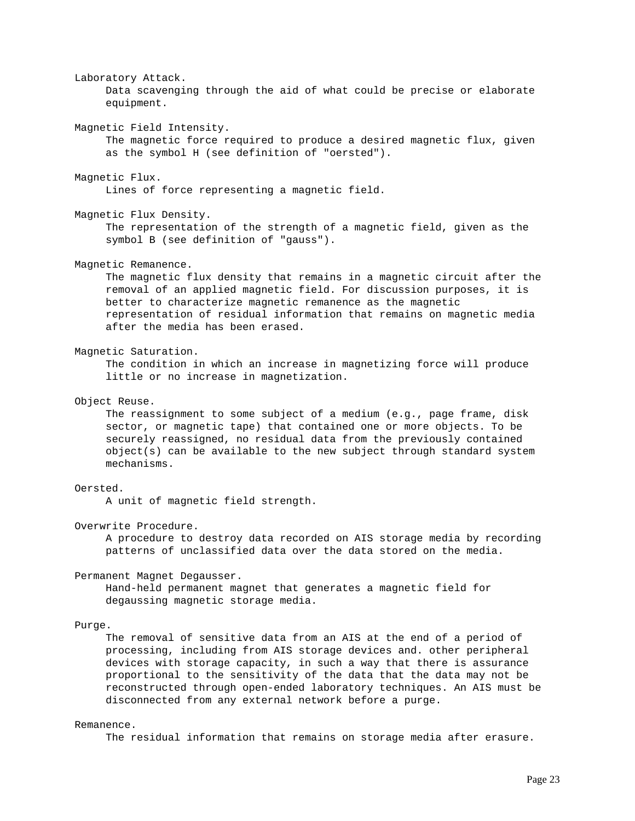Laboratory Attack. Data scavenging through the aid of what could be precise or elaborate equipment. Magnetic Field Intensity. The magnetic force required to produce a desired magnetic flux, given as the symbol H (see definition of "oersted"). Magnetic Flux. Lines of force representing a magnetic field. Magnetic Flux Density. The representation of the strength of a magnetic field, given as the symbol B (see definition of "gauss"). Magnetic Remanence. The magnetic flux density that remains in a magnetic circuit after the removal of an applied magnetic field. For discussion purposes, it is better to characterize magnetic remanence as the magnetic representation of residual information that remains on magnetic media after the media has been erased. Magnetic Saturation. The condition in which an increase in magnetizing force will produce little or no increase in magnetization. Object Reuse. The reassignment to some subject of a medium (e.g., page frame, disk sector, or magnetic tape) that contained one or more objects. To be securely reassigned, no residual data from the previously contained object(s) can be available to the new subject through standard system mechanisms. Oersted. A unit of magnetic field strength. Overwrite Procedure. A procedure to destroy data recorded on AIS storage media by recording patterns of unclassified data over the data stored on the media. Permanent Magnet Degausser. Hand-held permanent magnet that generates a magnetic field for degaussing magnetic storage media. Purge.

 The removal of sensitive data from an AIS at the end of a period of processing, including from AIS storage devices and. other peripheral devices with storage capacity, in such a way that there is assurance proportional to the sensitivity of the data that the data may not be reconstructed through open-ended laboratory techniques. An AIS must be disconnected from any external network before a purge.

### Remanence.

The residual information that remains on storage media after erasure.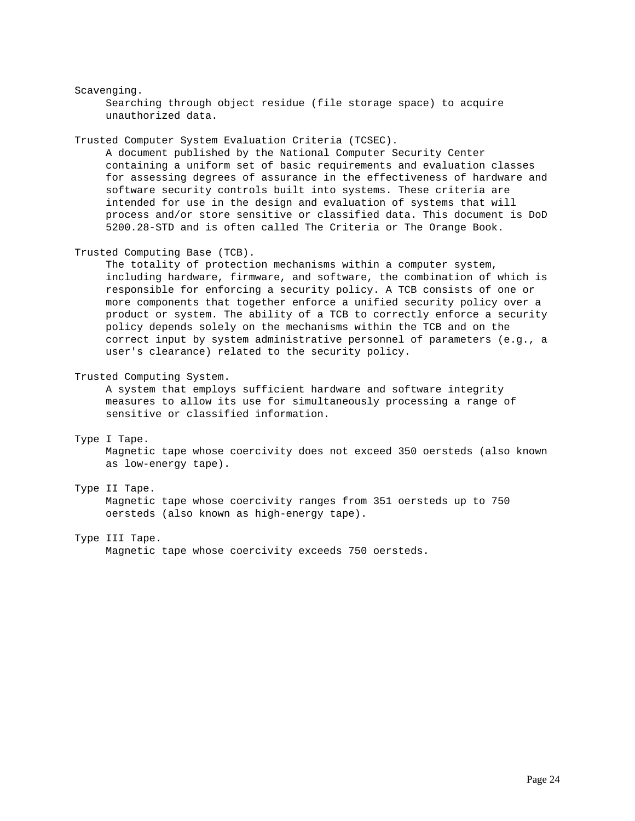# Scavenging.

 Searching through object residue (file storage space) to acquire unauthorized data.

Trusted Computer System Evaluation Criteria (TCSEC).

 A document published by the National Computer Security Center containing a uniform set of basic requirements and evaluation classes for assessing degrees of assurance in the effectiveness of hardware and software security controls built into systems. These criteria are intended for use in the design and evaluation of systems that will process and/or store sensitive or classified data. This document is DoD 5200.28-STD and is often called The Criteria or The Orange Book.

Trusted Computing Base (TCB).

 The totality of protection mechanisms within a computer system, including hardware, firmware, and software, the combination of which is responsible for enforcing a security policy. A TCB consists of one or more components that together enforce a unified security policy over a product or system. The ability of a TCB to correctly enforce a security policy depends solely on the mechanisms within the TCB and on the correct input by system administrative personnel of parameters (e.g., a user's clearance) related to the security policy.

Trusted Computing System.

 A system that employs sufficient hardware and software integrity measures to allow its use for simultaneously processing a range of sensitive or classified information.

## Type I Tape.

 Magnetic tape whose coercivity does not exceed 350 oersteds (also known as low-energy tape).

# Type II Tape.

 Magnetic tape whose coercivity ranges from 351 oersteds up to 750 oersteds (also known as high-energy tape).

#### Type III Tape.

Magnetic tape whose coercivity exceeds 750 oersteds.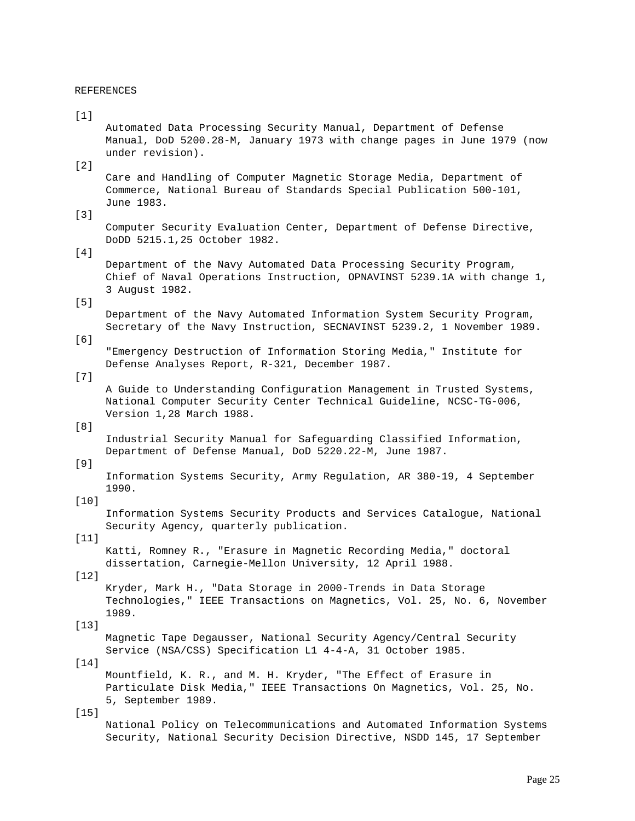## REFERENCES

#### $[1]$

 Automated Data Processing Security Manual, Department of Defense Manual, DoD 5200.28-M, January 1973 with change pages in June 1979 (now under revision).

# $[2]$

 Care and Handling of Computer Magnetic Storage Media, Department of Commerce, National Bureau of Standards Special Publication 500-101, June 1983.

# [3]

 Computer Security Evaluation Center, Department of Defense Directive, DoDD 5215.1,25 October 1982.

# [4]

 Department of the Navy Automated Data Processing Security Program, Chief of Naval Operations Instruction, OPNAVINST 5239.1A with change 1, 3 August 1982.

# [5]

 Department of the Navy Automated Information System Security Program, Secretary of the Navy Instruction, SECNAVINST 5239.2, 1 November 1989.

# [6]

 "Emergency Destruction of Information Storing Media," Institute for Defense Analyses Report, R-321, December 1987.

## [7]

 A Guide to Understanding Configuration Management in Trusted Systems, National Computer Security Center Technical Guideline, NCSC-TG-006, Version 1,28 March 1988.

# [8]

 Industrial Security Manual for Safeguarding Classified Information, Department of Defense Manual, DoD 5220.22-M, June 1987.

## [9]

 Information Systems Security, Army Regulation, AR 380-19, 4 September 1990.

## [10]

 Information Systems Security Products and Services Catalogue, National Security Agency, quarterly publication.

# $[11]$

 Katti, Romney R., "Erasure in Magnetic Recording Media," doctoral dissertation, Carnegie-Mellon University, 12 April 1988.

## [12]

 Kryder, Mark H., "Data Storage in 2000-Trends in Data Storage Technologies," IEEE Transactions on Magnetics, Vol. 25, No. 6, November 1989.

## [13]

 Magnetic Tape Degausser, National Security Agency/Central Security Service (NSA/CSS) Specification L1 4-4-A, 31 October 1985.

#### [14]

 Mountfield, K. R., and M. H. Kryder, "The Effect of Erasure in Particulate Disk Media," IEEE Transactions On Magnetics, Vol. 25, No. 5, September 1989.

# [15]

 National Policy on Telecommunications and Automated Information Systems Security, National Security Decision Directive, NSDD 145, 17 September